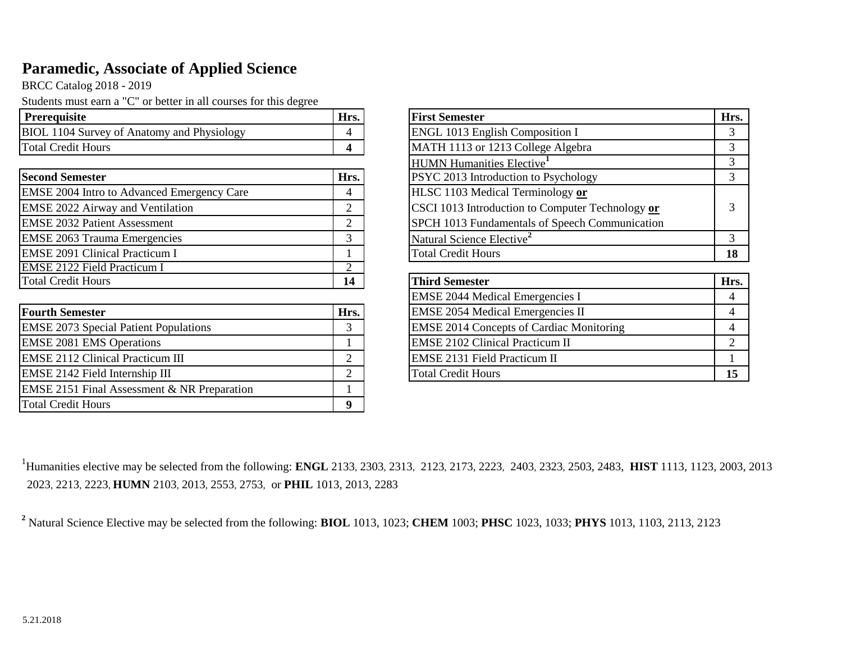## **Paramedic, Associate of Applied Science**

BRCC Catalog 2018 - 2019

Students must earn a "C" or better in all courses for this degree

| <b>Prerequisite</b>                               | Hrs. | <b>First Semester</b>                    | Hrs. |
|---------------------------------------------------|------|------------------------------------------|------|
| <b>BIOL 1104 Survey of Anatomy and Physiology</b> |      | <b>ENGL 1013 English Composition I</b>   |      |
| <b>Total Credit Hours</b>                         |      | MATH 1113 or 1213 College Algebra        |      |
|                                                   |      | _______<br>.<br>$\overline{\phantom{a}}$ |      |

| <b>Second Semester</b><br>Hrs.                    |    | <b>PSYC 2013 Introduction to Psychology</b>      |      |
|---------------------------------------------------|----|--------------------------------------------------|------|
| <b>EMSE 2004 Intro to Advanced Emergency Care</b> |    | HLSC 1103 Medical Terminology or                 |      |
| <b>EMSE 2022 Airway and Ventilation</b>           | ⌒  | CSCI 1013 Introduction to Computer Technology or |      |
| <b>EMSE 2032 Patient Assessment</b>               | ⌒  | SPCH 1013 Fundamentals of Speech Communication   |      |
| <b>EMSE 2063 Trauma Emergencies</b>               |    | Natural Science Elective <sup>2</sup>            |      |
| <b>EMSE 2091 Clinical Practicum I</b>             |    | <b>Total Credit Hours</b>                        | 18   |
| <b>EMSE 2122 Field Practicum I</b>                |    |                                                  |      |
| <b>Total Credit Hours</b>                         | 14 | Third Semester                                   | Hrs. |

| <b>Fourth Semester</b>                                 | Hrs.     | <b>EMSE 2054 Medical Emergencies II</b>         |    |
|--------------------------------------------------------|----------|-------------------------------------------------|----|
| <b>EMSE 2073 Special Patient Populations</b>           |          | <b>EMSE 2014 Concepts of Cardiac Monitoring</b> |    |
| <b>EMSE 2081 EMS Operations</b>                        |          | <b>EMSE 2102 Clinical Practicum II</b>          |    |
| <b>EMSE 2112 Clinical Practicum III</b>                |          | <b>EMSE 2131 Field Practicum II</b>             |    |
| <b>EMSE 2142 Field Internship III</b>                  |          | <b>Total Credit Hours</b>                       | 15 |
| <b>EMSE 2151 Final Assessment &amp; NR Preparation</b> |          |                                                 |    |
| <b>Total Credit Hours</b>                              | $\Omega$ |                                                 |    |

| <b>First Semester</b>                            | Hrs.           |
|--------------------------------------------------|----------------|
| ENGL 1013 English Composition I                  | 3              |
| MATH 1113 or 1213 College Algebra                | 3              |
| <b>HUMN Humanities Elective</b>                  | 3              |
| PSYC 2013 Introduction to Psychology             | 3              |
| HLSC 1103 Medical Terminology or                 |                |
| CSCI 1013 Introduction to Computer Technology or | 3              |
| SPCH 1013 Fundamentals of Speech Communication   |                |
| Natural Science Elective <sup>2</sup>            | 3              |
| <b>Total Credit Hours</b>                        | 18             |
|                                                  |                |
| <b>Third Semester</b>                            | Hrs.           |
| <b>EMSE 2044 Medical Emergencies I</b>           | 4              |
| <b>EMSE 2054 Medical Emergencies II</b>          | 4              |
| <b>EMSE 2014 Concepts of Cardiac Monitoring</b>  | 4              |
| <b>EMSE 2102 Clinical Practicum II</b>           | $\mathfrak{D}$ |
| <b>EMSE 2131 Field Practicum II</b>              |                |
| Total Credit Hours                               | 15             |

1 Humanities elective may be selected from the following: **ENGL** 2133, 2303, 2313, 2123, 2173, 2223, 2403, 2323, 2503, 2483, **HIST** 1113, 1123, 2003, 2013 2023, 2213, 2223, **HUMN** 2103, 2013, 2553, 2753, or **PHIL** 1013, 2013, 2283

**2** Natural Science Elective may be selected from the following: **BIOL** 1013, 1023; **CHEM** 1003; **PHSC** 1023, 1033; **PHYS** 1013, 1103, 2113, 2123